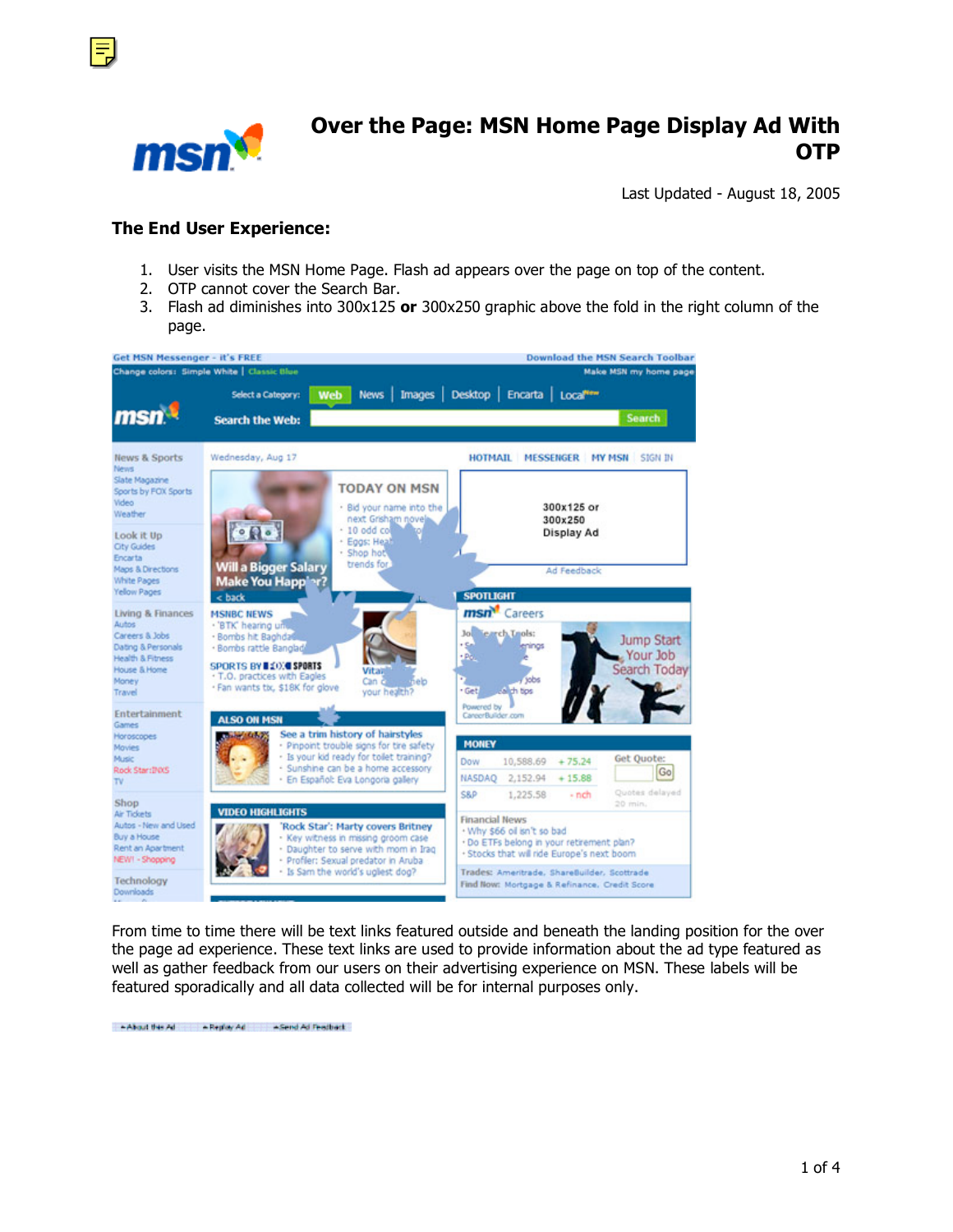



## **Over the Page: MSN Home Page Display Ad With OTP**

Last Updated - August 18, 2005

#### **The End User Experience:**

- 1. User visits the MSN Home Page. Flash ad appears over the page on top of the content.
- 2. OTP cannot cover the Search Bar.
- 3. Flash ad diminishes into 300x125 **or** 300x250 graphic above the fold in the right column of the page.



From time to time there will be text links featured outside and beneath the landing position for the over the page ad experience. These text links are used to provide information about the ad type featured as well as gather feedback from our users on their advertising experience on MSN. These labels will be featured sporadically and all data collected will be for internal purposes only.

-About this Ad - Replay Ad - - Send Ad Feedback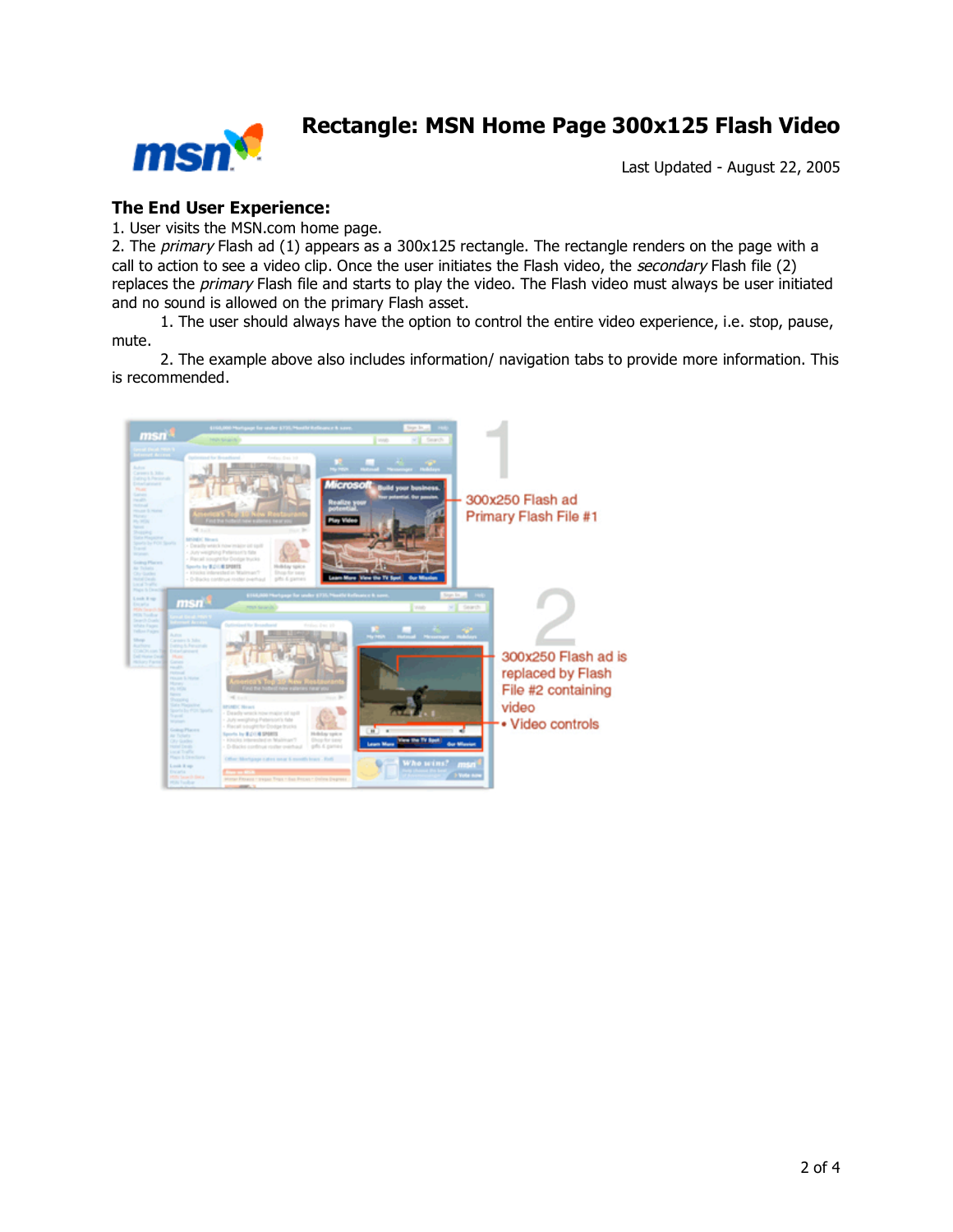

### **Rectangle: MSN Home Page 300x125 Flash Video**

Last Updated - August 22, 2005

### **The End User Experience:**

1. User visits the MSN.com home page.

2. The primary Flash ad (1) appears as a 300x125 rectangle. The rectangle renders on the page with a call to action to see a video clip. Once the user initiates the Flash video, the secondary Flash file (2) replaces the *primary* Flash file and starts to play the video. The Flash video must always be user initiated and no sound is allowed on the primary Flash asset.

1. The user should always have the option to control the entire video experience, i.e. stop, pause, mute.

2. The example above also includes information/ navigation tabs to provide more information. This is recommended.

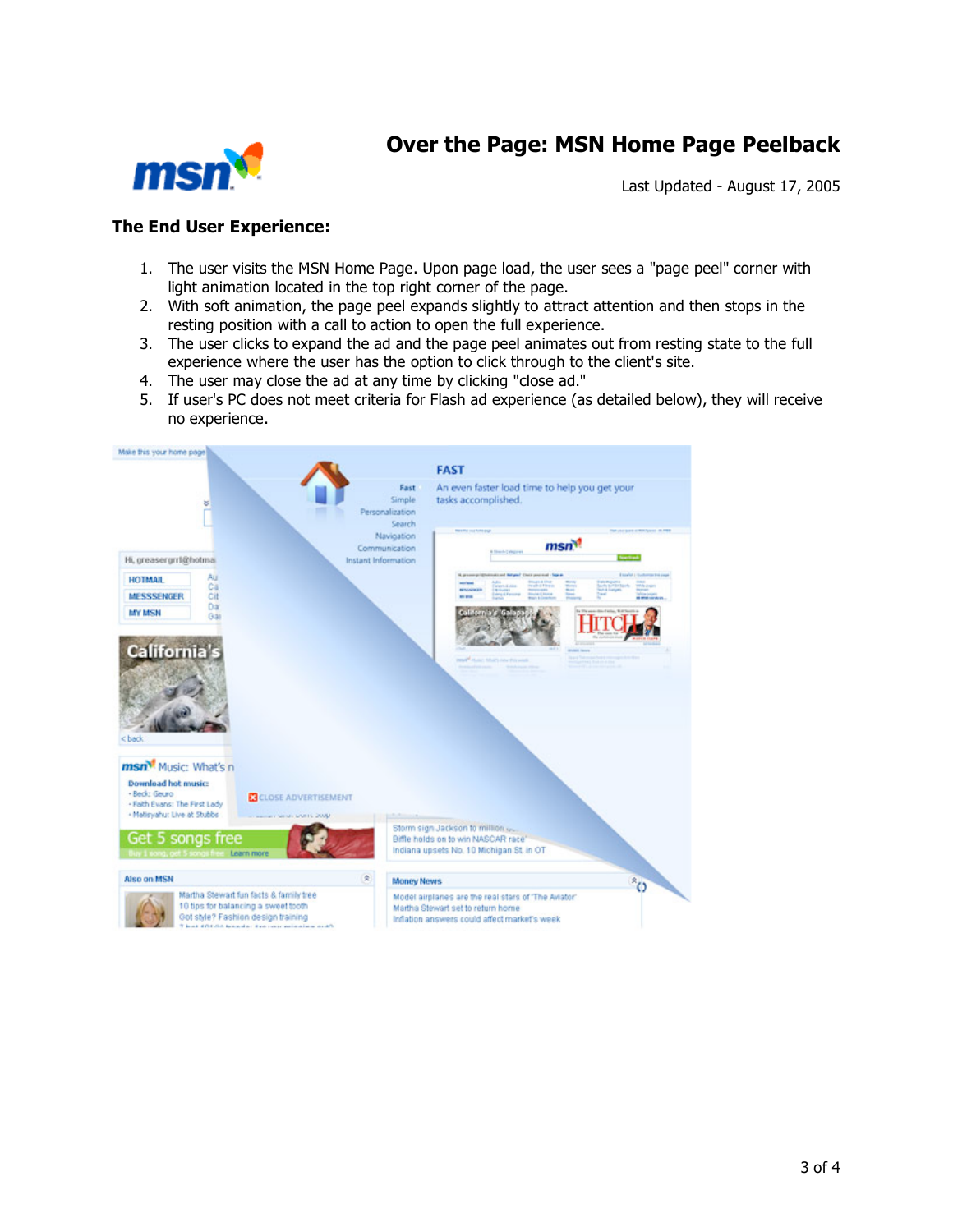## **Over the Page: MSN Home Page Peelback**



Last Updated - August 17, 2005

### **The End User Experience:**

- 1. The user visits the MSN Home Page. Upon page load, the user sees a "page peel" corner with light animation located in the top right corner of the page.
- 2. With soft animation, the page peel expands slightly to attract attention and then stops in the resting position with a call to action to open the full experience.
- 3. The user clicks to expand the ad and the page peel animates out from resting state to the full experience where the user has the option to click through to the client's site.
- 4. The user may close the ad at any time by clicking "close ad."
- 5. If user's PC does not meet criteria for Flash ad experience (as detailed below), they will receive no experience.